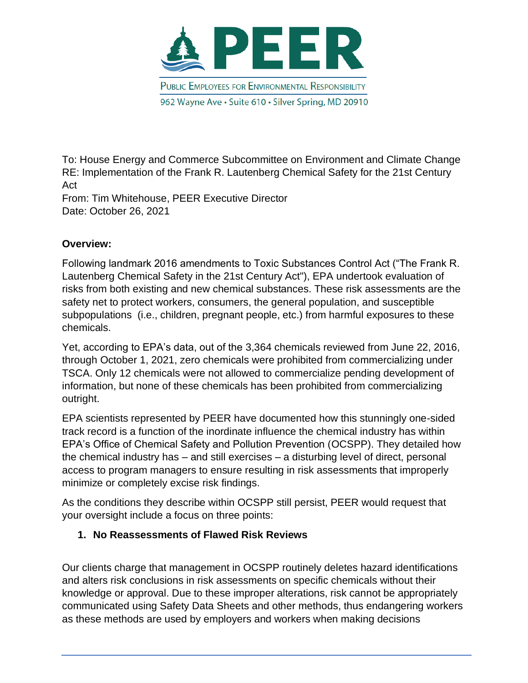

To: House Energy and Commerce Subcommittee on Environment and Climate Change RE: Implementation of the Frank R. Lautenberg Chemical Safety for the 21st Century Act

From: Tim Whitehouse, PEER Executive Director Date: October 26, 2021

## **Overview:**

Following landmark 2016 amendments to Toxic Substances Control Act ("The Frank R. Lautenberg Chemical Safety in the 21st Century Act"), EPA undertook evaluation of risks from both existing and new chemical substances. These risk assessments are the safety net to protect workers, consumers, the general population, and susceptible subpopulations (i.e., children, pregnant people, etc.) from harmful exposures to these chemicals.

Yet, according to EPA's data, out of the 3,364 chemicals reviewed from June 22, 2016, through October 1, 2021, zero chemicals were prohibited from commercializing under TSCA. Only 12 chemicals were not allowed to commercialize pending development of information, but none of these chemicals has been prohibited from commercializing outright.

EPA scientists represented by PEER have documented how this stunningly one-sided track record is a function of the inordinate influence the chemical industry has within EPA's Office of Chemical Safety and Pollution Prevention (OCSPP). They detailed how the chemical industry has – and still exercises – a disturbing level of direct, personal access to program managers to ensure resulting in risk assessments that improperly minimize or completely excise risk findings.

As the conditions they describe within OCSPP still persist, PEER would request that your oversight include a focus on three points:

## **1. No Reassessments of Flawed Risk Reviews**

Our clients charge that management in OCSPP routinely deletes hazard identifications and alters risk conclusions in risk assessments on specific chemicals without their knowledge or approval. Due to these improper alterations, risk cannot be appropriately communicated using Safety Data Sheets and other methods, thus endangering workers as these methods are used by employers and workers when making decisions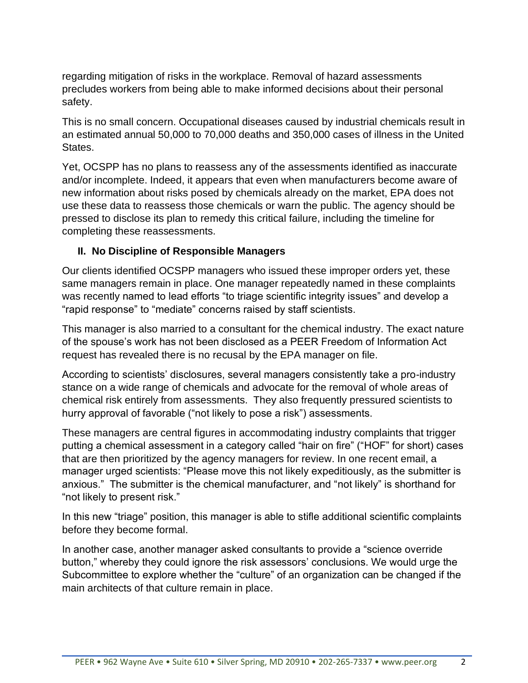regarding mitigation of risks in the workplace. Removal of hazard assessments precludes workers from being able to make informed decisions about their personal safety.

This is no small concern. Occupational diseases caused by industrial chemicals result in an estimated annual 50,000 to 70,000 deaths and 350,000 cases of illness in the United States.

Yet, OCSPP has no plans to reassess any of the assessments identified as inaccurate and/or incomplete. Indeed, it appears that even when manufacturers become aware of new information about risks posed by chemicals already on the market, EPA does not use these data to reassess those chemicals or warn the public. The agency should be pressed to disclose its plan to remedy this critical failure, including the timeline for completing these reassessments.

## **II. No Discipline of Responsible Managers**

Our clients identified OCSPP managers who issued these improper orders yet, these same managers remain in place. One manager repeatedly named in these complaints was recently named to lead efforts "to triage scientific integrity issues" and develop a "rapid response" to "mediate" concerns raised by staff scientists.

This manager is also married to a consultant for the chemical industry. The exact nature of the spouse's work has not been disclosed as a PEER Freedom of Information Act request has revealed there is no recusal by the EPA manager on file.

According to scientists' disclosures, several managers consistently take a pro-industry stance on a wide range of chemicals and advocate for the removal of whole areas of chemical risk entirely from assessments. They also frequently pressured scientists to hurry approval of favorable ("not likely to pose a risk") assessments.

These managers are central figures in accommodating industry complaints that trigger putting a chemical assessment in a category called "hair on fire" ("HOF" for short) cases that are then prioritized by the agency managers for review. In one recent email, a manager urged scientists: "Please move this not likely expeditiously, as the submitter is anxious." The submitter is the chemical manufacturer, and "not likely" is shorthand for "not likely to present risk."

In this new "triage" position, this manager is able to stifle additional scientific complaints before they become formal.

In another case, another manager asked consultants to provide a "science override button," whereby they could ignore the risk assessors' conclusions. We would urge the Subcommittee to explore whether the "culture" of an organization can be changed if the main architects of that culture remain in place.